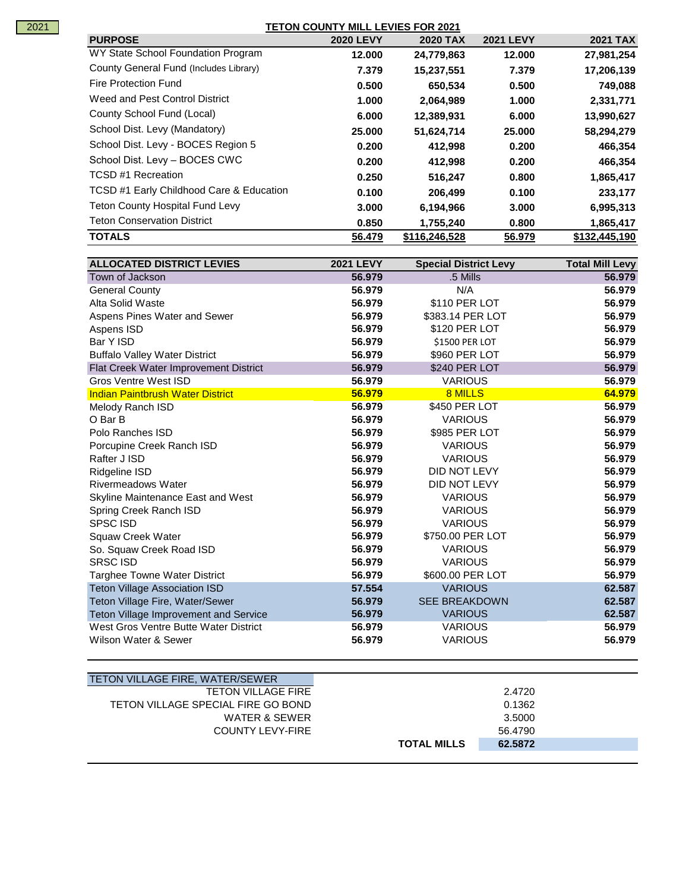## **TETON COUNTY MILL LEVIES FOR 2021**

| <b>PURPOSE</b>                           | <b>2020 LEVY</b> | <b>2020 TAX</b> | <b>2021 LEVY</b> | <b>2021 TAX</b> |
|------------------------------------------|------------------|-----------------|------------------|-----------------|
| WY State School Foundation Program       | 12.000           | 24,779,863      | 12.000           | 27,981,254      |
| County General Fund (Includes Library)   | 7.379            | 15,237,551      | 7.379            | 17,206,139      |
| Fire Protection Fund                     | 0.500            | 650,534         | 0.500            | 749,088         |
| Weed and Pest Control District           | 1.000            | 2,064,989       | 1.000            | 2,331,771       |
| County School Fund (Local)               | 6.000            | 12,389,931      | 6.000            | 13,990,627      |
| School Dist. Levy (Mandatory)            | 25,000           | 51,624,714      | 25,000           | 58,294,279      |
| School Dist. Levy - BOCES Region 5       | 0.200            | 412,998         | 0.200            | 466,354         |
| School Dist. Levy - BOCES CWC            | 0.200            | 412,998         | 0.200            | 466,354         |
| <b>TCSD #1 Recreation</b>                | 0.250            | 516,247         | 0.800            | 1,865,417       |
| TCSD #1 Early Childhood Care & Education | 0.100            | 206.499         | 0.100            | 233,177         |
| Teton County Hospital Fund Levy          | 3.000            | 6,194,966       | 3.000            | 6,995,313       |
| <b>Teton Conservation District</b>       | 0.850            | 1,755,240       | 0.800            | 1,865,417       |
| <b>TOTALS</b>                            | 56.479           | \$116,246,528   | 56.979           | \$132,445,190   |

| <b>ALLOCATED DISTRICT LEVIES</b>        | <b>2021 LEVY</b> | <b>Special District Levy</b> | <b>Total Mill Levy</b> |
|-----------------------------------------|------------------|------------------------------|------------------------|
| Town of Jackson                         | 56.979           | .5 Mills                     | 56.979                 |
| <b>General County</b>                   | 56.979           | N/A                          | 56.979                 |
| Alta Solid Waste                        | 56.979           | \$110 PER LOT                | 56.979                 |
| Aspens Pines Water and Sewer            | 56.979           | \$383.14 PER LOT             | 56.979                 |
| Aspens ISD                              | 56.979           | \$120 PER LOT                | 56.979                 |
| Bar Y ISD                               | 56.979           | \$1500 PER LOT               | 56.979                 |
| <b>Buffalo Valley Water District</b>    | 56.979           | \$960 PER LOT                | 56.979                 |
| Flat Creek Water Improvement District   | 56.979           | \$240 PER LOT                | 56.979                 |
| <b>Gros Ventre West ISD</b>             | 56.979           | <b>VARIOUS</b>               | 56.979                 |
| <b>Indian Paintbrush Water District</b> | 56.979           | 8 MILLS                      | 64.979                 |
| Melody Ranch ISD                        | 56.979           | \$450 PER LOT                | 56.979                 |
| O Bar B                                 | 56.979           | <b>VARIOUS</b>               | 56.979                 |
| Polo Ranches ISD                        | 56.979           | \$985 PER LOT                | 56.979                 |
| Porcupine Creek Ranch ISD               | 56.979           | <b>VARIOUS</b>               | 56.979                 |
| Rafter J ISD                            | 56.979           | <b>VARIOUS</b>               | 56.979                 |
| Ridgeline ISD                           | 56.979           | DID NOT LEVY                 | 56.979                 |
| <b>Rivermeadows Water</b>               | 56.979           | DID NOT LEVY                 | 56.979                 |
| Skyline Maintenance East and West       | 56.979           | <b>VARIOUS</b>               | 56.979                 |
| Spring Creek Ranch ISD                  | 56.979           | <b>VARIOUS</b>               | 56.979                 |
| <b>SPSC ISD</b>                         | 56.979           | <b>VARIOUS</b>               | 56.979                 |
| Squaw Creek Water                       | 56.979           | \$750.00 PER LOT             | 56.979                 |
| So. Squaw Creek Road ISD                | 56.979           | <b>VARIOUS</b>               | 56.979                 |
| <b>SRSC ISD</b>                         | 56.979           | <b>VARIOUS</b>               | 56.979                 |
| Targhee Towne Water District            | 56.979           | \$600.00 PER LOT             | 56.979                 |
| <b>Teton Village Association ISD</b>    | 57.554           | <b>VARIOUS</b>               | 62.587                 |
| Teton Village Fire, Water/Sewer         | 56.979           | <b>SEE BREAKDOWN</b>         | 62.587                 |
| Teton Village Improvement and Service   | 56.979           | <b>VARIOUS</b>               | 62.587                 |
| West Gros Ventre Butte Water District   | 56.979           | <b>VARIOUS</b>               | 56.979                 |
| Wilson Water & Sewer                    | 56.979           | <b>VARIOUS</b>               | 56.979                 |

| TETON VILLAGE FIRE, WATER/SEWER    |                               |  |
|------------------------------------|-------------------------------|--|
| <b>TETON VILLAGE FIRE</b>          | 2.4720                        |  |
| TETON VILLAGE SPECIAL FIRE GO BOND | 0.1362                        |  |
| WATER & SEWER                      | 3.5000                        |  |
| <b>COUNTY LEVY-FIRE</b>            | 56.4790                       |  |
|                                    | <b>TOTAL MILLS</b><br>62.5872 |  |
|                                    |                               |  |